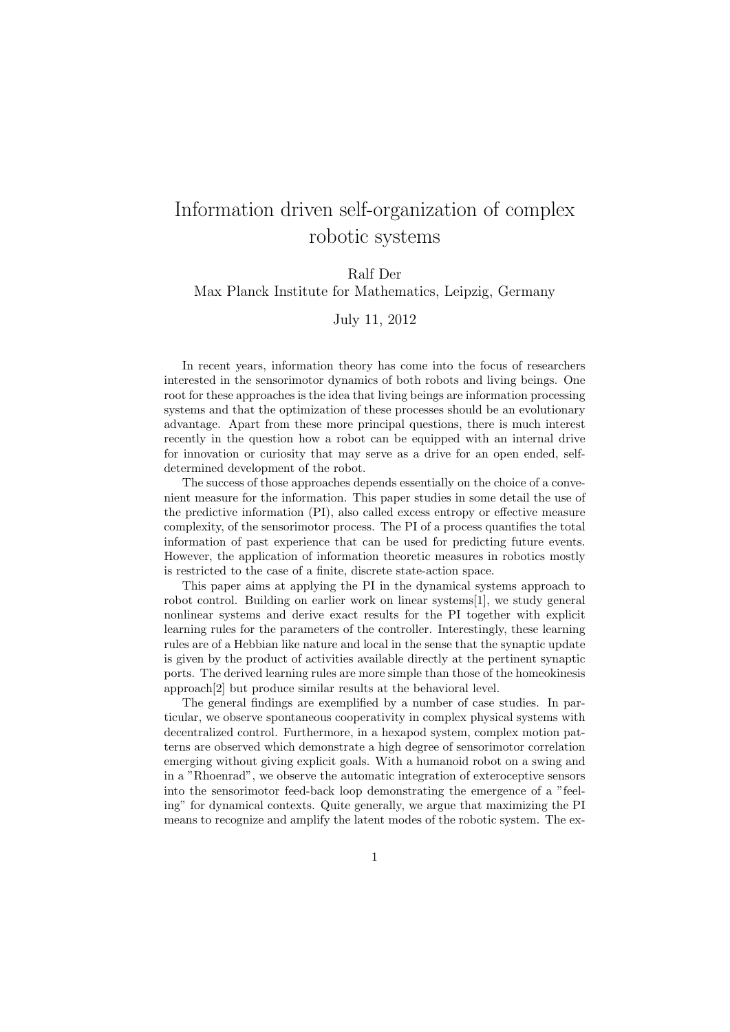## Information driven self-organization of complex robotic systems

Ralf Der

Max Planck Institute for Mathematics, Leipzig, Germany

July 11, 2012

In recent years, information theory has come into the focus of researchers interested in the sensorimotor dynamics of both robots and living beings. One root for these approaches is the idea that living beings are information processing systems and that the optimization of these processes should be an evolutionary advantage. Apart from these more principal questions, there is much interest recently in the question how a robot can be equipped with an internal drive for innovation or curiosity that may serve as a drive for an open ended, selfdetermined development of the robot.

The success of those approaches depends essentially on the choice of a convenient measure for the information. This paper studies in some detail the use of the predictive information (PI), also called excess entropy or effective measure complexity, of the sensorimotor process. The PI of a process quantifies the total information of past experience that can be used for predicting future events. However, the application of information theoretic measures in robotics mostly is restricted to the case of a finite, discrete state-action space.

This paper aims at applying the PI in the dynamical systems approach to robot control. Building on earlier work on linear systems[1], we study general nonlinear systems and derive exact results for the PI together with explicit learning rules for the parameters of the controller. Interestingly, these learning rules are of a Hebbian like nature and local in the sense that the synaptic update is given by the product of activities available directly at the pertinent synaptic ports. The derived learning rules are more simple than those of the homeokinesis approach[2] but produce similar results at the behavioral level.

The general findings are exemplified by a number of case studies. In particular, we observe spontaneous cooperativity in complex physical systems with decentralized control. Furthermore, in a hexapod system, complex motion patterns are observed which demonstrate a high degree of sensorimotor correlation emerging without giving explicit goals. With a humanoid robot on a swing and in a "Rhoenrad", we observe the automatic integration of exteroceptive sensors into the sensorimotor feed-back loop demonstrating the emergence of a "feeling" for dynamical contexts. Quite generally, we argue that maximizing the PI means to recognize and amplify the latent modes of the robotic system. The ex